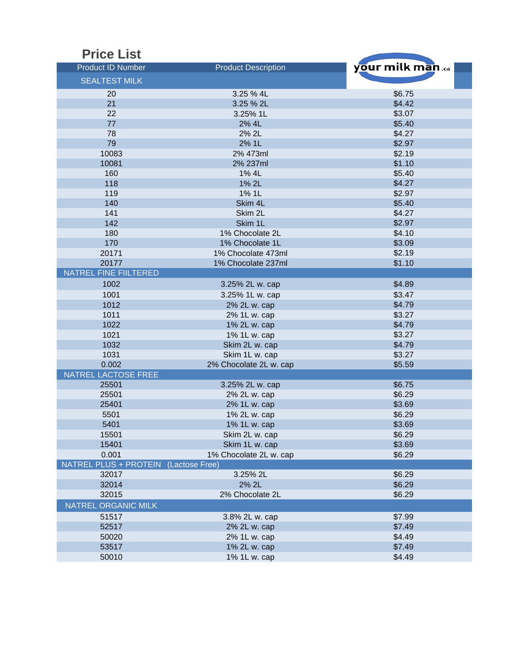| <b>Price List</b>                    |                            |                  |
|--------------------------------------|----------------------------|------------------|
| <b>Product ID Number</b>             | <b>Product Description</b> | your milk man.ca |
| <b>SEALTEST MILK</b>                 |                            |                  |
|                                      |                            |                  |
| 20                                   | 3.25 % 4L                  | \$6.75           |
| 21                                   | 3.25 % 2L                  | \$4.42           |
| 22                                   | 3.25% 1L                   | \$3.07           |
| 77                                   | 2% 4L                      | \$5.40           |
| 78                                   | 2% 2L                      | \$4.27           |
| 79                                   | 2% 1L                      | \$2.97           |
| 10083                                | 2% 473ml                   | \$2.19           |
| 10081                                | 2% 237ml                   | \$1.10           |
| 160                                  | 1% 4L                      | \$5.40           |
| 118                                  | 1% 2L                      | \$4.27           |
| 119                                  | 1% 1L                      | \$2.97           |
| 140                                  | Skim 4L                    | \$5.40           |
| 141                                  | Skim 2L                    | \$4.27           |
| 142                                  | Skim 1L                    | \$2.97           |
| 180                                  | 1% Chocolate 2L            | \$4.10           |
| 170                                  | 1% Chocolate 1L            | \$3.09           |
| 20171                                | 1% Chocolate 473ml         | \$2.19           |
| 20177                                | 1% Chocolate 237ml         | \$1.10           |
| <b>NATREL FINE FIILTERED</b>         |                            |                  |
| 1002                                 | 3.25% 2L w. cap            | \$4.89           |
| 1001                                 | 3.25% 1L w. cap            | \$3.47           |
| 1012                                 | 2% 2L w. cap               | \$4.79           |
| 1011                                 | 2% 1L w. cap               | \$3.27           |
| 1022                                 | 1% 2L w. cap               | \$4.79           |
| 1021                                 | 1% 1L w. cap               | \$3.27           |
| 1032                                 | Skim 2L w. cap             | \$4.79           |
| 1031                                 | Skim 1L w. cap             | \$3.27           |
| 0.002                                | 2% Chocolate 2L w. cap     | \$5.59           |
| <b>NATREL LACTOSE FREE</b>           |                            |                  |
| 25501                                | 3.25% 2L w. cap            | \$6.75           |
| 25501                                | 2% 2L w. cap               | \$6.29           |
| 25401                                | 2% 1L w. cap               | \$3.69           |
| 5501                                 | 1% 2L w. cap               | \$6.29           |
| 5401                                 | 1% 1L w. cap               | \$3.69           |
| 15501                                | Skim 2L w. cap             | \$6.29           |
| 15401                                | Skim 1L w. cap             | \$3.69           |
| 0.001                                | 1% Chocolate 2L w. cap     | \$6.29           |
| NATREL PLUS + PROTEIN (Lactose Free) |                            |                  |
| 32017                                | 3.25% 2L                   | \$6.29           |
| 32014                                | 2% 2L                      | \$6.29           |
| 32015                                | 2% Chocolate 2L            | \$6.29           |
| NATREL ORGANIC MILK                  |                            |                  |
| 51517                                | 3.8% 2L w. cap             | \$7.99           |
| 52517                                | 2% 2L w. cap               | \$7.49           |
| 50020                                | 2% 1L w. cap               | \$4.49           |
| 53517                                | 1% 2L w. cap               | \$7.49           |
| 50010                                | 1% 1L w. cap               | \$4.49           |